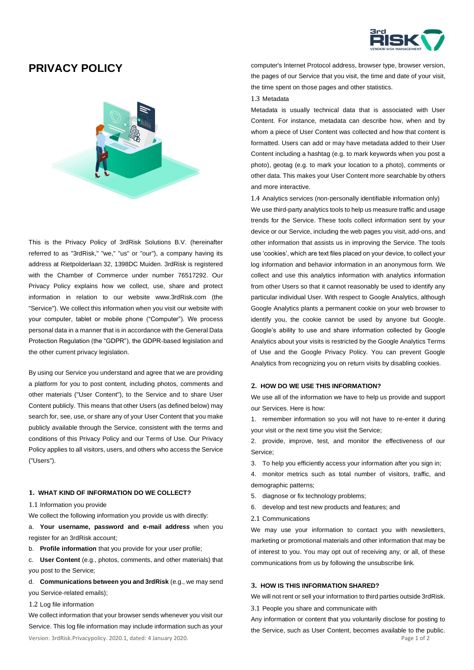

# **PRIVACY POLICY**



This is the Privacy Policy of 3rdRisk Solutions B.V. (hereinafter referred to as "3rdRisk," "we," "us" or "our"), a company having its address at Rietpolderlaan 32, 1398DC Muiden. 3rdRisk is registered with the Chamber of Commerce under number 76517292. Our Privacy Policy explains how we collect, use, share and protect information in relation to our website www.3rdRisk.com (the "Service"). We collect this information when you visit our website with your computer, tablet or mobile phone ("Computer"). We process personal data in a manner that is in accordance with the General Data Protection Regulation (the "GDPR"), the GDPR-based legislation and the other current privacy legislation.

By using our Service you understand and agree that we are providing a platform for you to post content, including photos, comments and other materials ("User Content"), to the Service and to share User Content publicly. This means that other Users (as defined below) may search for, see, use, or share any of your User Content that you make publicly available through the Service, consistent with the terms and conditions of this Privacy Policy and our Terms of Use. Our Privacy Policy applies to all visitors, users, and others who access the Service ("Users").

# **1. WHAT KIND OF INFORMATION DO WE COLLECT?**

1.1 Information you provide

We collect the following information you provide us with directly:

a. **Your username, password and e-mail address** when you register for an 3rdRisk account;

b. **Profile information** that you provide for your user profile;

c. **User Content** (e.g., photos, comments, and other materials) that you post to the Service;

d. **Communications between you and 3rdRisk** (e.g., we may send you Service-related emails);

1.2 Log file information

Version: 3rdRisk.Privacypolicy. 2020.1, dated: 4 January 2020. Page 1 of 2 We collect information that your browser sends whenever you visit our Service. This log file information may include information such as your

computer's Internet Protocol address, browser type, browser version, the pages of our Service that you visit, the time and date of your visit, the time spent on those pages and other statistics.

# 1.3 Metadata

Metadata is usually technical data that is associated with User Content. For instance, metadata can describe how, when and by whom a piece of User Content was collected and how that content is formatted. Users can add or may have metadata added to their User Content including a hashtag (e.g. to mark keywords when you post a photo), geotag (e.g. to mark your location to a photo), comments or other data. This makes your User Content more searchable by others and more interactive.

1.4 Analytics services (non-personally identifiable information only) We use third-party analytics tools to help us measure traffic and usage trends for the Service. These tools collect information sent by your device or our Service, including the web pages you visit, add-ons, and other information that assists us in improving the Service. The tools use 'cookies', which are text files placed on your device, to collect your log information and behavior information in an anonymous form. We collect and use this analytics information with analytics information from other Users so that it cannot reasonably be used to identify any particular individual User. With respect to Google Analytics, although Google Analytics plants a permanent cookie on your web browser to identify you, the cookie cannot be used by anyone but Google. Google's ability to use and share information collected by Google Analytics about your visits is restricted by the Google Analytics Terms of Use and the Google Privacy Policy. You can prevent Google Analytics from recognizing you on return visits by disabling cookies.

## **2. HOW DO WE USE THIS INFORMATION?**

We use all of the information we have to help us provide and support our Services. Here is how:

1. remember information so you will not have to re-enter it during your visit or the next time you visit the Service;

2. provide, improve, test, and monitor the effectiveness of our Service;

3. To help you efficiently access your information after you sign in;

4. monitor metrics such as total number of visitors, traffic, and demographic patterns;

- 5. diagnose or fix technology problems;
- 6. develop and test new products and features; and
- 2.1 Communications

We may use your information to contact you with newsletters, marketing or promotional materials and other information that may be of interest to you. You may opt out of receiving any, or all, of these communications from us by following the unsubscribe link.

## **3. HOW IS THIS INFORMATION SHARED?**

We will not rent or sell your information to third parties outside 3rdRisk.

3.1 People you share and communicate with

Any information or content that you voluntarily disclose for posting to the Service, such as User Content, becomes available to the public.